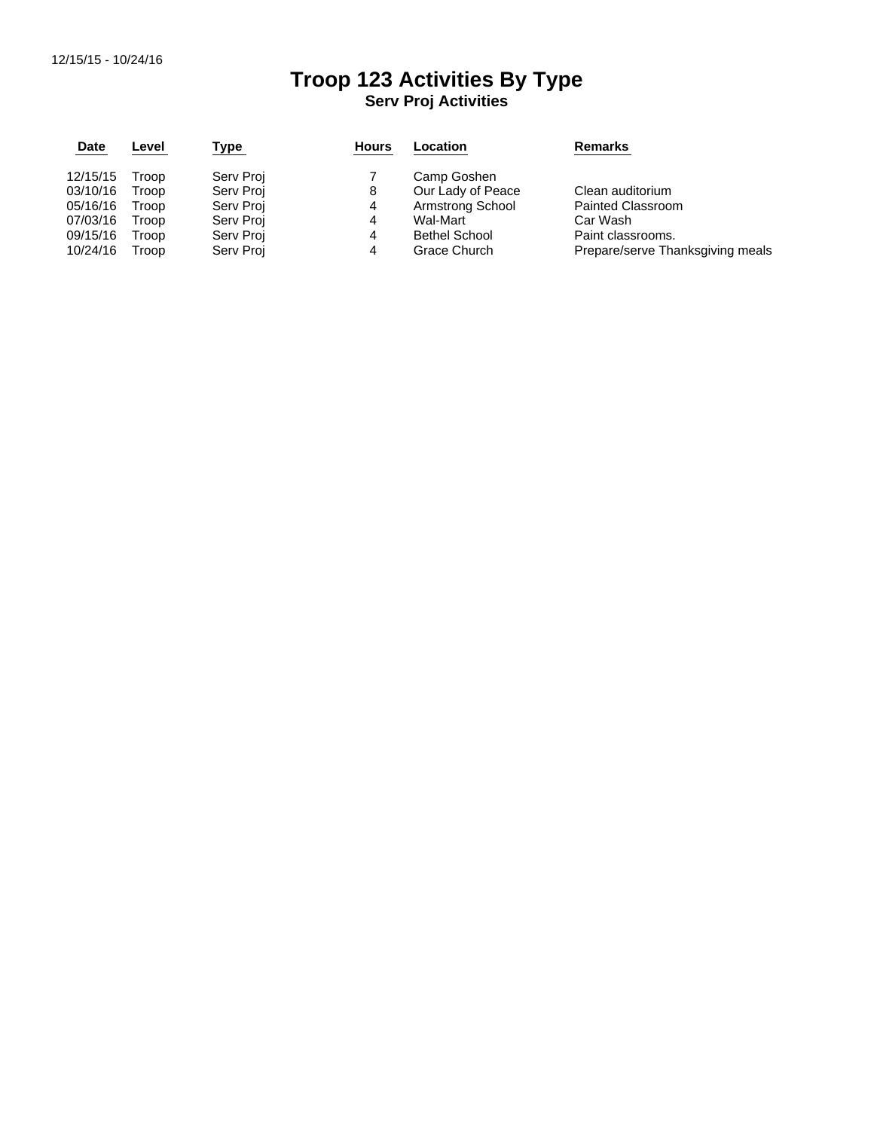## **Troop 123 Activities By Type Serv Proj Activities**

| <b>Date</b> | Level | Type      | <b>Hours</b> | Location             | <b>Remarks</b>                   |  |  |  |  |
|-------------|-------|-----------|--------------|----------------------|----------------------------------|--|--|--|--|
| 12/15/15    | Troop | Serv Proj |              | Camp Goshen          |                                  |  |  |  |  |
| 03/10/16    | Troop | Serv Proj | 8            | Our Lady of Peace    | Clean auditorium                 |  |  |  |  |
| 05/16/16    | Troop | Serv Proj | 4            | Armstrong School     | <b>Painted Classroom</b>         |  |  |  |  |
| 07/03/16    | Troop | Serv Proj | 4            | Wal-Mart             | Car Wash                         |  |  |  |  |
| 09/15/16    | Troop | Serv Proj | 4            | <b>Bethel School</b> | Paint classrooms.                |  |  |  |  |
| 10/24/16    | Troop | Serv Proj | 4            | Grace Church         | Prepare/serve Thanksgiving meals |  |  |  |  |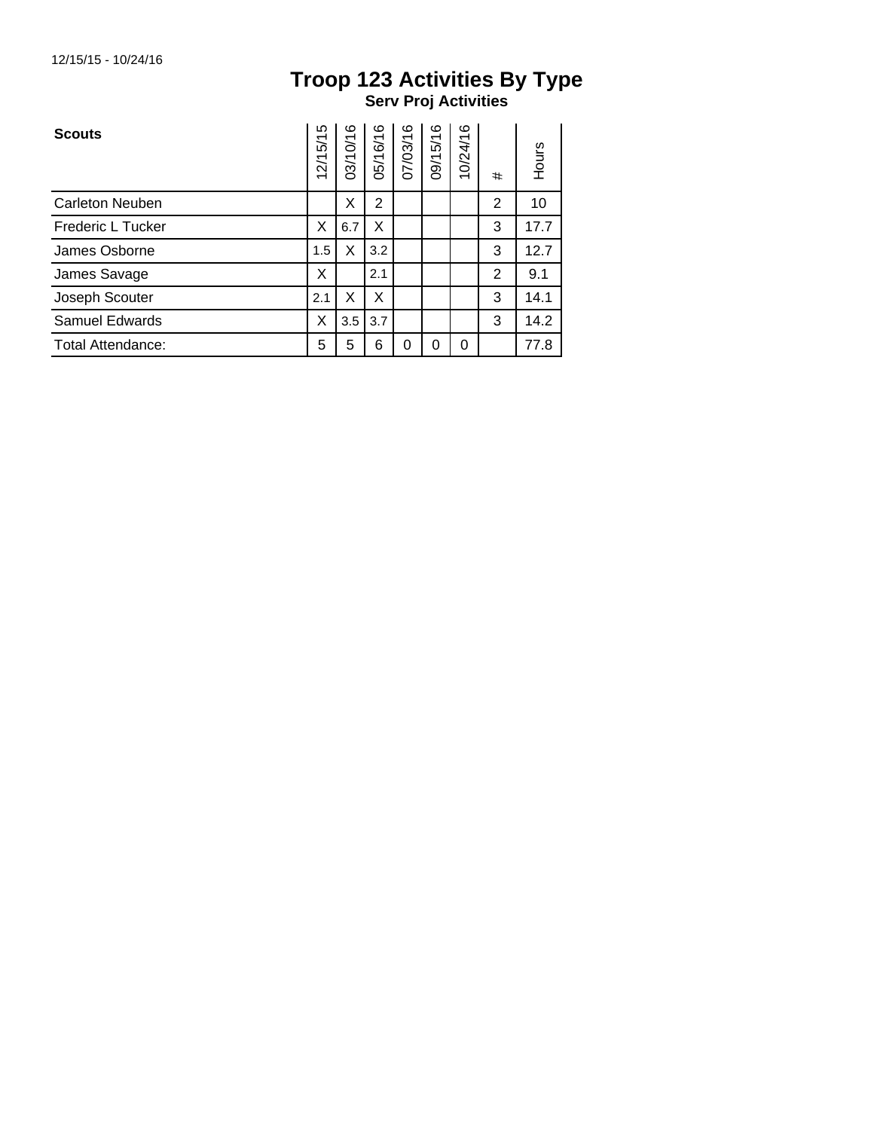## **Troop 123 Activities By Type Serv Proj Activities**

| <b>Scouts</b>            | 12/15/15 | 03/10/16 | 05/16/16 | 07/03/16 | 09/15/16 | 10/24/16 | #              | Hours |
|--------------------------|----------|----------|----------|----------|----------|----------|----------------|-------|
| <b>Carleton Neuben</b>   |          | X        | 2        |          |          |          | $\overline{2}$ | 10    |
| Frederic L Tucker        |          | 6.7      | X        |          |          |          | 3              | 17.7  |
| James Osborne            |          | X        | 3.2      |          |          |          | 3              | 12.7  |
| James Savage             | X        |          | 2.1      |          |          |          | $\overline{2}$ | 9.1   |
| Joseph Scouter           | 2.1      | X        | X        |          |          |          | 3              | 14.1  |
| Samuel Edwards           |          | 3.5      | 3.7      |          |          |          | 3              | 14.2  |
| <b>Total Attendance:</b> |          | 5        | 6        | 0        | 0        | 0        |                | 77.8  |